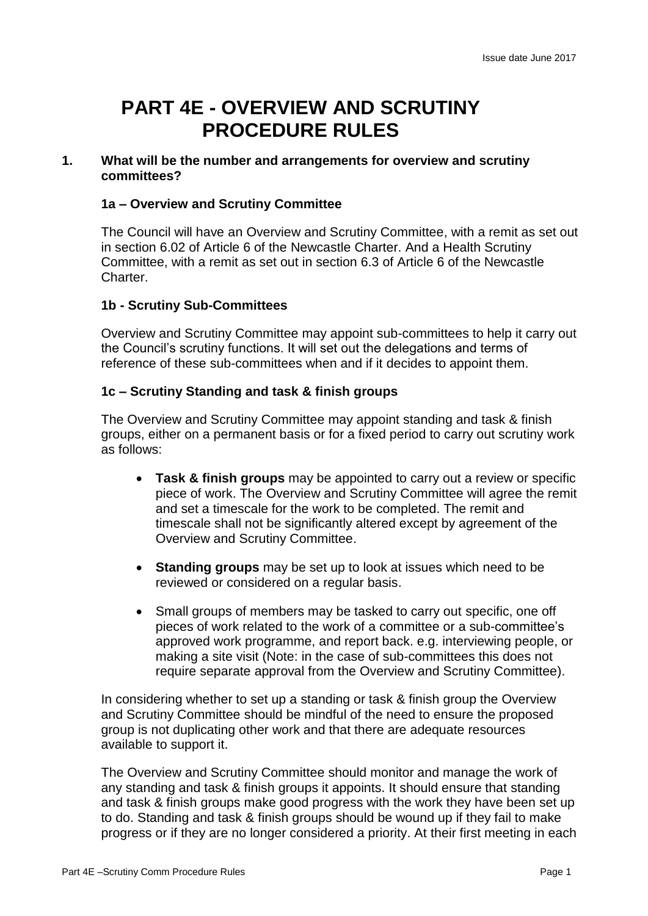# **PART 4E - OVERVIEW AND SCRUTINY PROCEDURE RULES**

## **1. What will be the number and arrangements for overview and scrutiny committees?**

# **1a – Overview and Scrutiny Committee**

The Council will have an Overview and Scrutiny Committee, with a remit as set out in section 6.02 of Article 6 of the Newcastle Charter. And a Health Scrutiny Committee, with a remit as set out in section 6.3 of Article 6 of the Newcastle Charter.

# **1b - Scrutiny Sub-Committees**

Overview and Scrutiny Committee may appoint sub-committees to help it carry out the Council's scrutiny functions. It will set out the delegations and terms of reference of these sub-committees when and if it decides to appoint them.

# **1c – Scrutiny Standing and task & finish groups**

The Overview and Scrutiny Committee may appoint standing and task & finish groups, either on a permanent basis or for a fixed period to carry out scrutiny work as follows:

- **Task & finish groups** may be appointed to carry out a review or specific piece of work. The Overview and Scrutiny Committee will agree the remit and set a timescale for the work to be completed. The remit and timescale shall not be significantly altered except by agreement of the Overview and Scrutiny Committee.
- **Standing groups** may be set up to look at issues which need to be reviewed or considered on a regular basis.
- Small groups of members may be tasked to carry out specific, one off pieces of work related to the work of a committee or a sub-committee's approved work programme, and report back. e.g. interviewing people, or making a site visit (Note: in the case of sub-committees this does not require separate approval from the Overview and Scrutiny Committee).

In considering whether to set up a standing or task & finish group the Overview and Scrutiny Committee should be mindful of the need to ensure the proposed group is not duplicating other work and that there are adequate resources available to support it.

The Overview and Scrutiny Committee should monitor and manage the work of any standing and task & finish groups it appoints. It should ensure that standing and task & finish groups make good progress with the work they have been set up to do. Standing and task & finish groups should be wound up if they fail to make progress or if they are no longer considered a priority. At their first meeting in each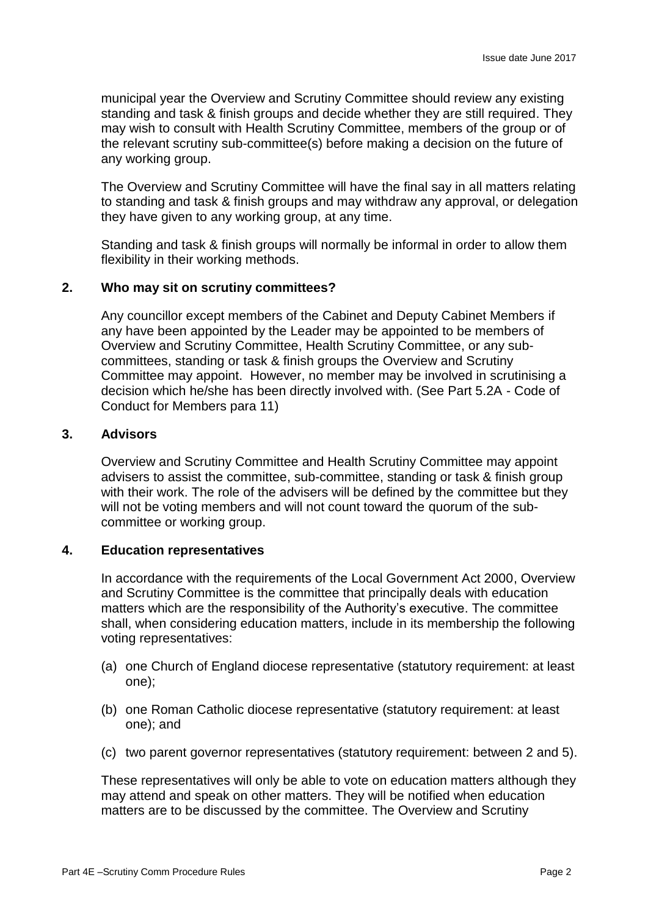municipal year the Overview and Scrutiny Committee should review any existing standing and task & finish groups and decide whether they are still required. They may wish to consult with Health Scrutiny Committee, members of the group or of the relevant scrutiny sub-committee(s) before making a decision on the future of any working group.

The Overview and Scrutiny Committee will have the final say in all matters relating to standing and task & finish groups and may withdraw any approval, or delegation they have given to any working group, at any time.

Standing and task & finish groups will normally be informal in order to allow them flexibility in their working methods.

## **2. Who may sit on scrutiny committees?**

Any councillor except members of the Cabinet and Deputy Cabinet Members if any have been appointed by the Leader may be appointed to be members of Overview and Scrutiny Committee, Health Scrutiny Committee, or any subcommittees, standing or task & finish groups the Overview and Scrutiny Committee may appoint. However, no member may be involved in scrutinising a decision which he/she has been directly involved with. (See Part 5.2A - Code of Conduct for Members para 11)

#### **3. Advisors**

Overview and Scrutiny Committee and Health Scrutiny Committee may appoint advisers to assist the committee, sub-committee, standing or task & finish group with their work. The role of the advisers will be defined by the committee but they will not be voting members and will not count toward the quorum of the subcommittee or working group.

#### **4. Education representatives**

In accordance with the requirements of the Local Government Act 2000, Overview and Scrutiny Committee is the committee that principally deals with education matters which are the responsibility of the Authority's executive. The committee shall, when considering education matters, include in its membership the following voting representatives:

- (a) one Church of England diocese representative (statutory requirement: at least one);
- (b) one Roman Catholic diocese representative (statutory requirement: at least one); and
- (c) two parent governor representatives (statutory requirement: between 2 and 5).

These representatives will only be able to vote on education matters although they may attend and speak on other matters. They will be notified when education matters are to be discussed by the committee. The Overview and Scrutiny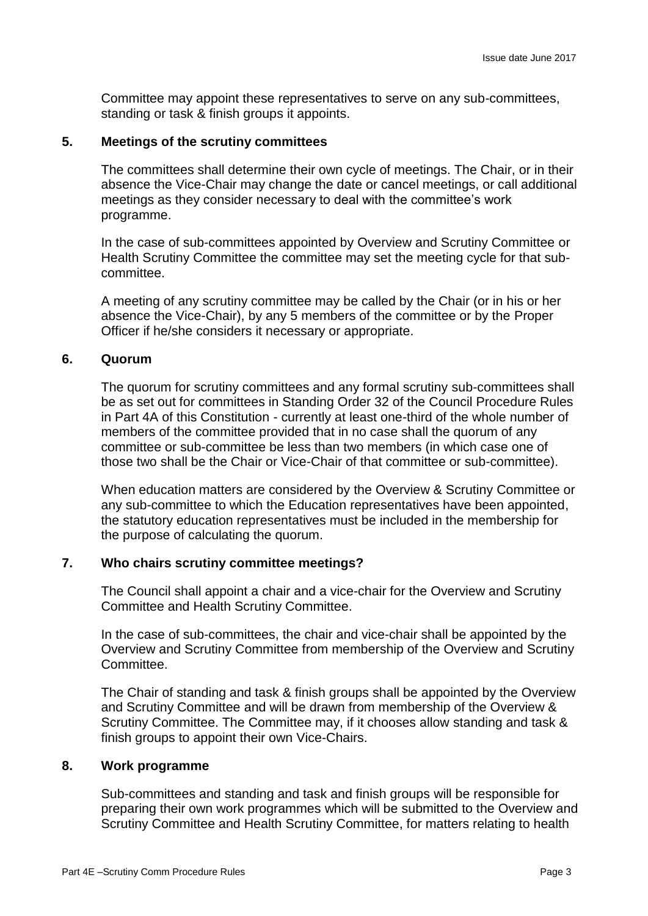Committee may appoint these representatives to serve on any sub-committees, standing or task & finish groups it appoints.

## **5. Meetings of the scrutiny committees**

The committees shall determine their own cycle of meetings. The Chair, or in their absence the Vice-Chair may change the date or cancel meetings, or call additional meetings as they consider necessary to deal with the committee's work programme.

In the case of sub-committees appointed by Overview and Scrutiny Committee or Health Scrutiny Committee the committee may set the meeting cycle for that subcommittee.

A meeting of any scrutiny committee may be called by the Chair (or in his or her absence the Vice-Chair), by any 5 members of the committee or by the Proper Officer if he/she considers it necessary or appropriate.

## **6. Quorum**

The quorum for scrutiny committees and any formal scrutiny sub-committees shall be as set out for committees in Standing Order 32 of the Council Procedure Rules in Part 4A of this Constitution - currently at least one-third of the whole number of members of the committee provided that in no case shall the quorum of any committee or sub-committee be less than two members (in which case one of those two shall be the Chair or Vice-Chair of that committee or sub-committee).

When education matters are considered by the Overview & Scrutiny Committee or any sub-committee to which the Education representatives have been appointed, the statutory education representatives must be included in the membership for the purpose of calculating the quorum.

# **7. Who chairs scrutiny committee meetings?**

The Council shall appoint a chair and a vice-chair for the Overview and Scrutiny Committee and Health Scrutiny Committee.

In the case of sub-committees, the chair and vice-chair shall be appointed by the Overview and Scrutiny Committee from membership of the Overview and Scrutiny Committee.

The Chair of standing and task & finish groups shall be appointed by the Overview and Scrutiny Committee and will be drawn from membership of the Overview & Scrutiny Committee. The Committee may, if it chooses allow standing and task & finish groups to appoint their own Vice-Chairs.

## **8. Work programme**

Sub-committees and standing and task and finish groups will be responsible for preparing their own work programmes which will be submitted to the Overview and Scrutiny Committee and Health Scrutiny Committee, for matters relating to health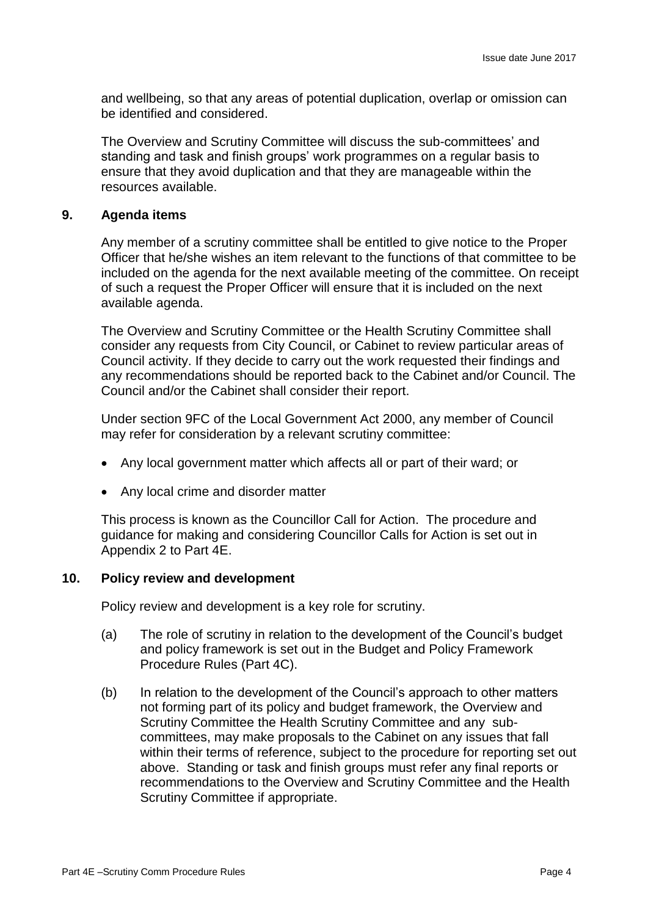and wellbeing, so that any areas of potential duplication, overlap or omission can be identified and considered.

The Overview and Scrutiny Committee will discuss the sub-committees' and standing and task and finish groups' work programmes on a regular basis to ensure that they avoid duplication and that they are manageable within the resources available.

#### **9. Agenda items**

Any member of a scrutiny committee shall be entitled to give notice to the Proper Officer that he/she wishes an item relevant to the functions of that committee to be included on the agenda for the next available meeting of the committee. On receipt of such a request the Proper Officer will ensure that it is included on the next available agenda.

The Overview and Scrutiny Committee or the Health Scrutiny Committee shall consider any requests from City Council, or Cabinet to review particular areas of Council activity. If they decide to carry out the work requested their findings and any recommendations should be reported back to the Cabinet and/or Council. The Council and/or the Cabinet shall consider their report.

Under section 9FC of the Local Government Act 2000, any member of Council may refer for consideration by a relevant scrutiny committee:

- Any local government matter which affects all or part of their ward; or
- Any local crime and disorder matter

This process is known as the Councillor Call for Action. The procedure and guidance for making and considering Councillor Calls for Action is set out in Appendix 2 to Part 4E.

#### **10. Policy review and development**

Policy review and development is a key role for scrutiny.

- (a) The role of scrutiny in relation to the development of the Council's budget and policy framework is set out in the Budget and Policy Framework Procedure Rules (Part 4C).
- (b) In relation to the development of the Council's approach to other matters not forming part of its policy and budget framework, the Overview and Scrutiny Committee the Health Scrutiny Committee and any subcommittees, may make proposals to the Cabinet on any issues that fall within their terms of reference, subject to the procedure for reporting set out above. Standing or task and finish groups must refer any final reports or recommendations to the Overview and Scrutiny Committee and the Health Scrutiny Committee if appropriate.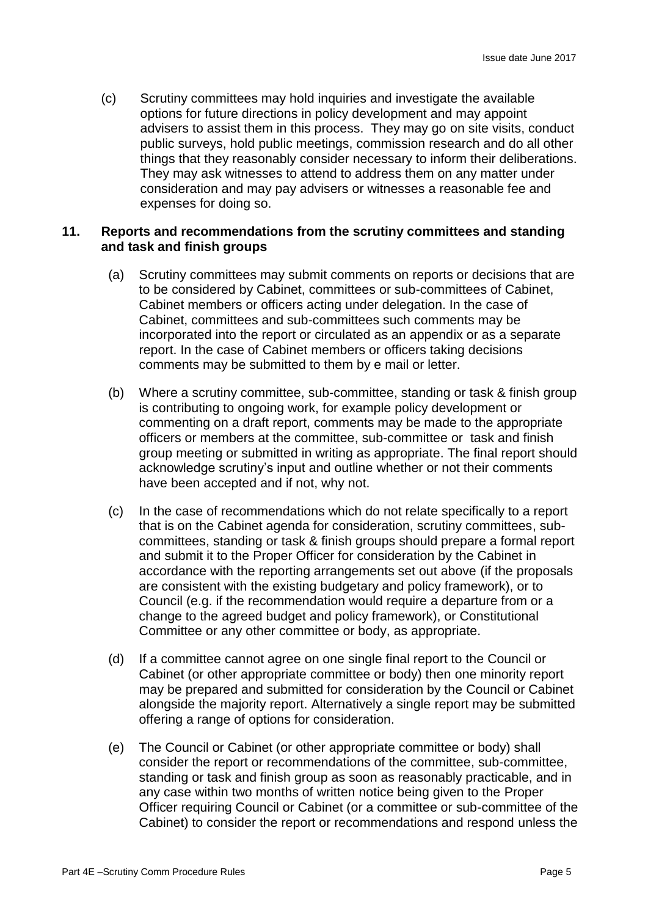(c) Scrutiny committees may hold inquiries and investigate the available options for future directions in policy development and may appoint advisers to assist them in this process. They may go on site visits, conduct public surveys, hold public meetings, commission research and do all other things that they reasonably consider necessary to inform their deliberations. They may ask witnesses to attend to address them on any matter under consideration and may pay advisers or witnesses a reasonable fee and expenses for doing so.

#### **11. Reports and recommendations from the scrutiny committees and standing and task and finish groups**

- (a) Scrutiny committees may submit comments on reports or decisions that are to be considered by Cabinet, committees or sub-committees of Cabinet, Cabinet members or officers acting under delegation. In the case of Cabinet, committees and sub-committees such comments may be incorporated into the report or circulated as an appendix or as a separate report. In the case of Cabinet members or officers taking decisions comments may be submitted to them by e mail or letter.
- (b) Where a scrutiny committee, sub-committee, standing or task & finish group is contributing to ongoing work, for example policy development or commenting on a draft report, comments may be made to the appropriate officers or members at the committee, sub-committee or task and finish group meeting or submitted in writing as appropriate. The final report should acknowledge scrutiny's input and outline whether or not their comments have been accepted and if not, why not.
- (c) In the case of recommendations which do not relate specifically to a report that is on the Cabinet agenda for consideration, scrutiny committees, subcommittees, standing or task & finish groups should prepare a formal report and submit it to the Proper Officer for consideration by the Cabinet in accordance with the reporting arrangements set out above (if the proposals are consistent with the existing budgetary and policy framework), or to Council (e.g. if the recommendation would require a departure from or a change to the agreed budget and policy framework), or Constitutional Committee or any other committee or body, as appropriate.
- (d) If a committee cannot agree on one single final report to the Council or Cabinet (or other appropriate committee or body) then one minority report may be prepared and submitted for consideration by the Council or Cabinet alongside the majority report. Alternatively a single report may be submitted offering a range of options for consideration.
- (e) The Council or Cabinet (or other appropriate committee or body) shall consider the report or recommendations of the committee, sub-committee, standing or task and finish group as soon as reasonably practicable, and in any case within two months of written notice being given to the Proper Officer requiring Council or Cabinet (or a committee or sub-committee of the Cabinet) to consider the report or recommendations and respond unless the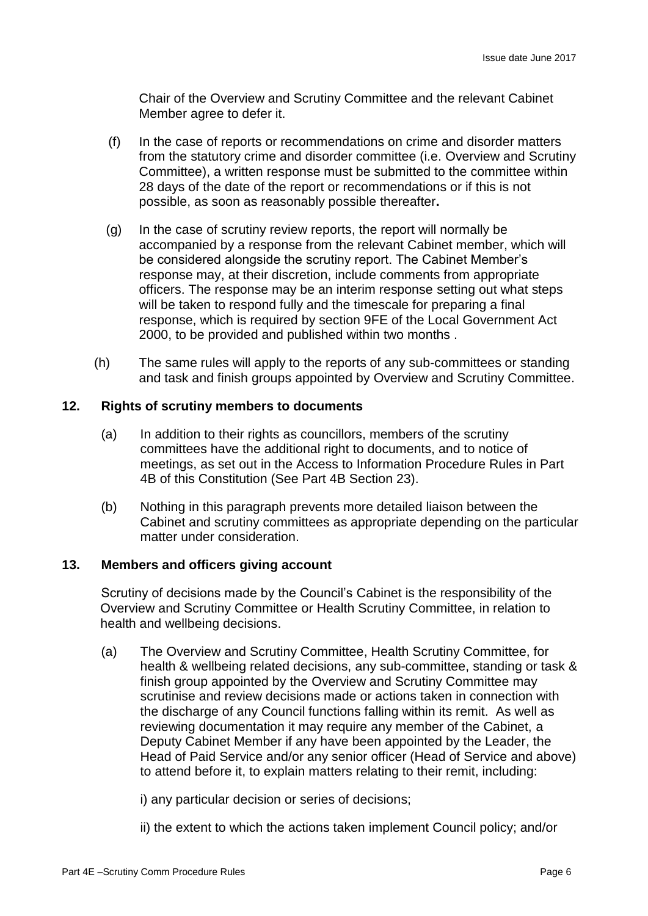Chair of the Overview and Scrutiny Committee and the relevant Cabinet Member agree to defer it.

- (f) In the case of reports or recommendations on crime and disorder matters from the statutory crime and disorder committee (i.e. Overview and Scrutiny Committee), a written response must be submitted to the committee within 28 days of the date of the report or recommendations or if this is not possible, as soon as reasonably possible thereafter**.**
- (g) In the case of scrutiny review reports, the report will normally be accompanied by a response from the relevant Cabinet member, which will be considered alongside the scrutiny report. The Cabinet Member's response may, at their discretion, include comments from appropriate officers. The response may be an interim response setting out what steps will be taken to respond fully and the timescale for preparing a final response, which is required by section 9FE of the Local Government Act 2000, to be provided and published within two months .
- (h) The same rules will apply to the reports of any sub-committees or standing and task and finish groups appointed by Overview and Scrutiny Committee.

# **12. Rights of scrutiny members to documents**

- (a) In addition to their rights as councillors, members of the scrutiny committees have the additional right to documents, and to notice of meetings, as set out in the Access to Information Procedure Rules in Part 4B of this Constitution (See Part 4B Section 23).
- (b) Nothing in this paragraph prevents more detailed liaison between the Cabinet and scrutiny committees as appropriate depending on the particular matter under consideration.

#### **13. Members and officers giving account**

Scrutiny of decisions made by the Council's Cabinet is the responsibility of the Overview and Scrutiny Committee or Health Scrutiny Committee, in relation to health and wellbeing decisions.

(a) The Overview and Scrutiny Committee, Health Scrutiny Committee, for health & wellbeing related decisions, any sub-committee, standing or task & finish group appointed by the Overview and Scrutiny Committee may scrutinise and review decisions made or actions taken in connection with the discharge of any Council functions falling within its remit. As well as reviewing documentation it may require any member of the Cabinet, a Deputy Cabinet Member if any have been appointed by the Leader, the Head of Paid Service and/or any senior officer (Head of Service and above) to attend before it, to explain matters relating to their remit, including:

i) any particular decision or series of decisions;

ii) the extent to which the actions taken implement Council policy; and/or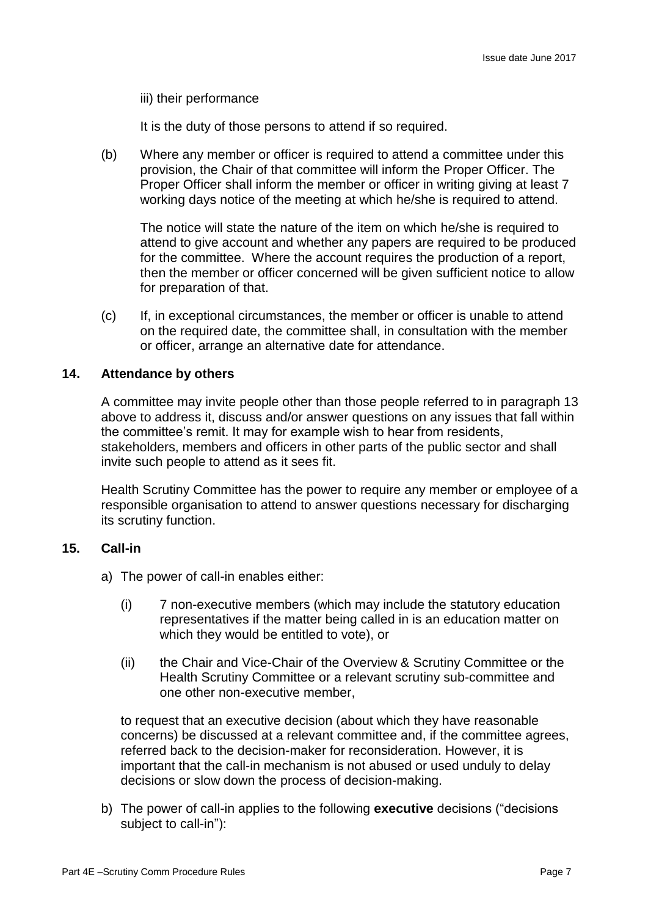#### iii) their performance

It is the duty of those persons to attend if so required.

(b) Where any member or officer is required to attend a committee under this provision, the Chair of that committee will inform the Proper Officer. The Proper Officer shall inform the member or officer in writing giving at least 7 working days notice of the meeting at which he/she is required to attend.

The notice will state the nature of the item on which he/she is required to attend to give account and whether any papers are required to be produced for the committee. Where the account requires the production of a report, then the member or officer concerned will be given sufficient notice to allow for preparation of that.

(c) If, in exceptional circumstances, the member or officer is unable to attend on the required date, the committee shall, in consultation with the member or officer, arrange an alternative date for attendance.

#### **14. Attendance by others**

A committee may invite people other than those people referred to in paragraph 13 above to address it, discuss and/or answer questions on any issues that fall within the committee's remit. It may for example wish to hear from residents, stakeholders, members and officers in other parts of the public sector and shall invite such people to attend as it sees fit.

Health Scrutiny Committee has the power to require any member or employee of a responsible organisation to attend to answer questions necessary for discharging its scrutiny function.

#### **15. Call-in**

- a) The power of call-in enables either:
	- (i) 7 non-executive members (which may include the statutory education representatives if the matter being called in is an education matter on which they would be entitled to vote), or
	- (ii) the Chair and Vice-Chair of the Overview & Scrutiny Committee or the Health Scrutiny Committee or a relevant scrutiny sub-committee and one other non-executive member,

to request that an executive decision (about which they have reasonable concerns) be discussed at a relevant committee and, if the committee agrees, referred back to the decision-maker for reconsideration. However, it is important that the call-in mechanism is not abused or used unduly to delay decisions or slow down the process of decision-making.

b) The power of call-in applies to the following **executive** decisions ("decisions subject to call-in"):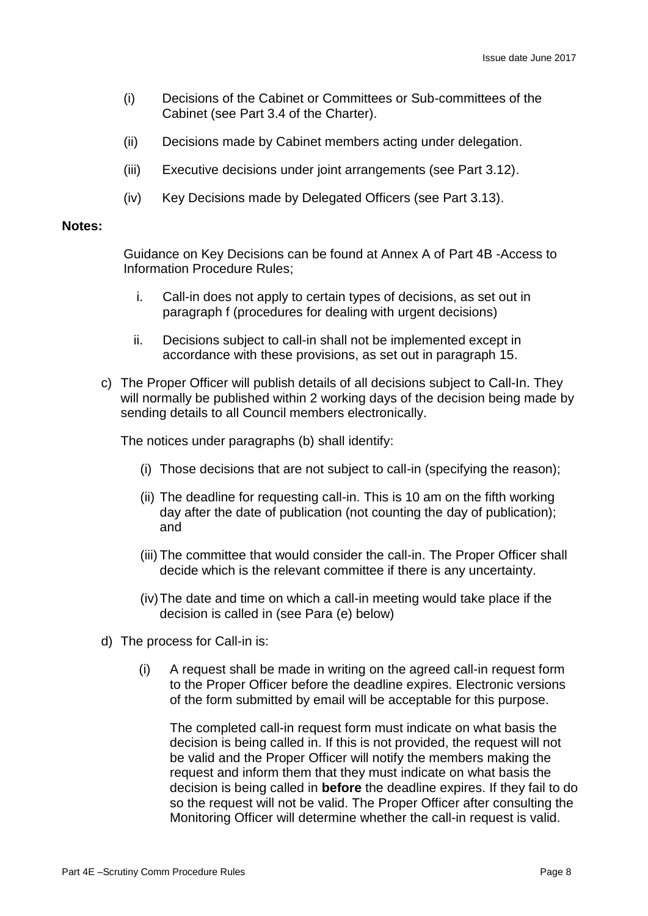- (i) Decisions of the Cabinet or Committees or Sub-committees of the Cabinet (see Part 3.4 of the Charter).
- (ii) Decisions made by Cabinet members acting under delegation.
- (iii) Executive decisions under joint arrangements (see Part 3.12).
- (iv) Key Decisions made by Delegated Officers (see Part 3.13).

#### **Notes:**

Guidance on Key Decisions can be found at Annex A of Part 4B -Access to Information Procedure Rules;

- i. Call-in does not apply to certain types of decisions, as set out in paragraph f (procedures for dealing with urgent decisions)
- ii. Decisions subject to call-in shall not be implemented except in accordance with these provisions, as set out in paragraph 15.
- c) The Proper Officer will publish details of all decisions subject to Call-In. They will normally be published within 2 working days of the decision being made by sending details to all Council members electronically.

The notices under paragraphs (b) shall identify:

- (i) Those decisions that are not subject to call-in (specifying the reason);
- (ii) The deadline for requesting call-in. This is 10 am on the fifth working day after the date of publication (not counting the day of publication); and
- (iii) The committee that would consider the call-in. The Proper Officer shall decide which is the relevant committee if there is any uncertainty.
- (iv)The date and time on which a call-in meeting would take place if the decision is called in (see Para (e) below)
- d) The process for Call-in is:
	- (i) A request shall be made in writing on the agreed call-in request form to the Proper Officer before the deadline expires. Electronic versions of the form submitted by email will be acceptable for this purpose.

The completed call-in request form must indicate on what basis the decision is being called in. If this is not provided, the request will not be valid and the Proper Officer will notify the members making the request and inform them that they must indicate on what basis the decision is being called in **before** the deadline expires. If they fail to do so the request will not be valid. The Proper Officer after consulting the Monitoring Officer will determine whether the call-in request is valid.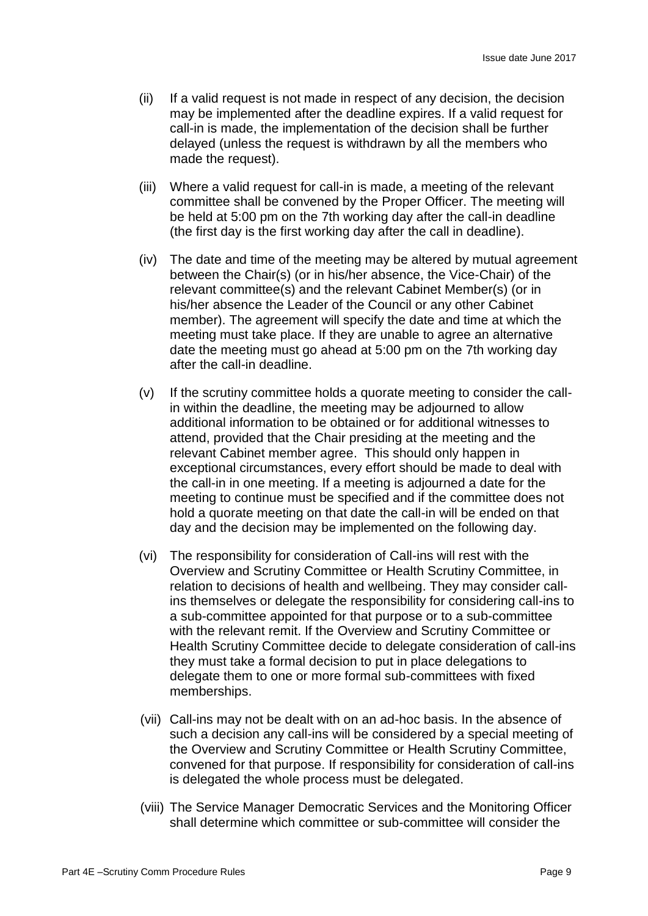- (ii) If a valid request is not made in respect of any decision, the decision may be implemented after the deadline expires. If a valid request for call-in is made, the implementation of the decision shall be further delayed (unless the request is withdrawn by all the members who made the request).
- (iii) Where a valid request for call-in is made, a meeting of the relevant committee shall be convened by the Proper Officer. The meeting will be held at 5:00 pm on the 7th working day after the call-in deadline (the first day is the first working day after the call in deadline).
- (iv) The date and time of the meeting may be altered by mutual agreement between the Chair(s) (or in his/her absence, the Vice-Chair) of the relevant committee(s) and the relevant Cabinet Member(s) (or in his/her absence the Leader of the Council or any other Cabinet member). The agreement will specify the date and time at which the meeting must take place. If they are unable to agree an alternative date the meeting must go ahead at 5:00 pm on the 7th working day after the call-in deadline.
- (v) If the scrutiny committee holds a quorate meeting to consider the callin within the deadline, the meeting may be adjourned to allow additional information to be obtained or for additional witnesses to attend, provided that the Chair presiding at the meeting and the relevant Cabinet member agree. This should only happen in exceptional circumstances, every effort should be made to deal with the call-in in one meeting. If a meeting is adjourned a date for the meeting to continue must be specified and if the committee does not hold a quorate meeting on that date the call-in will be ended on that day and the decision may be implemented on the following day.
- (vi) The responsibility for consideration of Call-ins will rest with the Overview and Scrutiny Committee or Health Scrutiny Committee, in relation to decisions of health and wellbeing. They may consider callins themselves or delegate the responsibility for considering call-ins to a sub-committee appointed for that purpose or to a sub-committee with the relevant remit. If the Overview and Scrutiny Committee or Health Scrutiny Committee decide to delegate consideration of call-ins they must take a formal decision to put in place delegations to delegate them to one or more formal sub-committees with fixed memberships.
- (vii) Call-ins may not be dealt with on an ad-hoc basis. In the absence of such a decision any call-ins will be considered by a special meeting of the Overview and Scrutiny Committee or Health Scrutiny Committee, convened for that purpose. If responsibility for consideration of call-ins is delegated the whole process must be delegated.
- (viii) The Service Manager Democratic Services and the Monitoring Officer shall determine which committee or sub-committee will consider the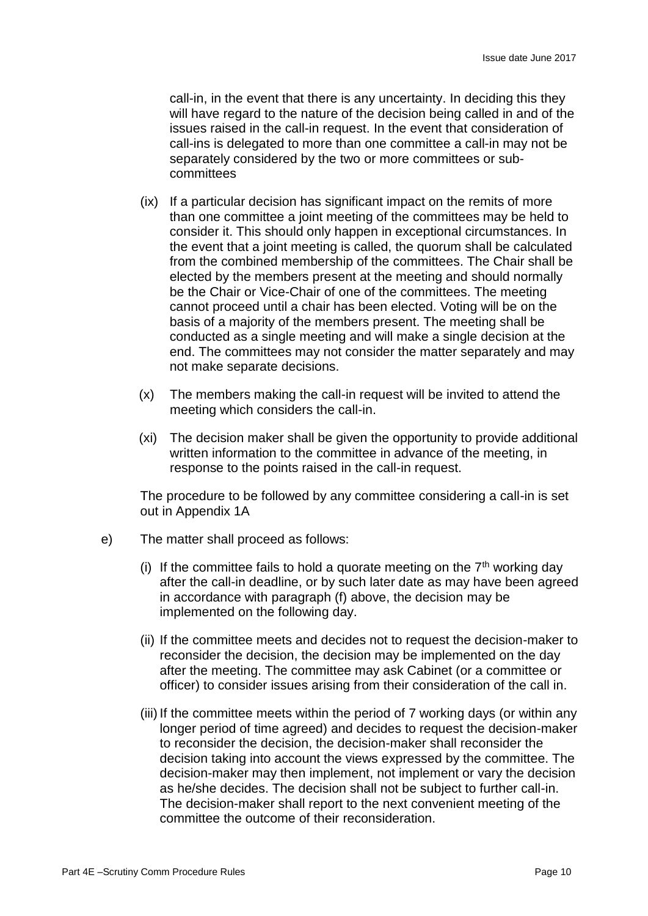call-in, in the event that there is any uncertainty. In deciding this they will have regard to the nature of the decision being called in and of the issues raised in the call-in request. In the event that consideration of call-ins is delegated to more than one committee a call-in may not be separately considered by the two or more committees or subcommittees

- (ix) If a particular decision has significant impact on the remits of more than one committee a joint meeting of the committees may be held to consider it. This should only happen in exceptional circumstances. In the event that a joint meeting is called, the quorum shall be calculated from the combined membership of the committees. The Chair shall be elected by the members present at the meeting and should normally be the Chair or Vice-Chair of one of the committees. The meeting cannot proceed until a chair has been elected. Voting will be on the basis of a majority of the members present. The meeting shall be conducted as a single meeting and will make a single decision at the end. The committees may not consider the matter separately and may not make separate decisions.
- (x) The members making the call-in request will be invited to attend the meeting which considers the call-in.
- (xi) The decision maker shall be given the opportunity to provide additional written information to the committee in advance of the meeting, in response to the points raised in the call-in request.

The procedure to be followed by any committee considering a call-in is set out in Appendix 1A

- e) The matter shall proceed as follows:
	- (i) If the committee fails to hold a quorate meeting on the  $7<sup>th</sup>$  working day after the call-in deadline, or by such later date as may have been agreed in accordance with paragraph (f) above, the decision may be implemented on the following day.
	- (ii) If the committee meets and decides not to request the decision-maker to reconsider the decision, the decision may be implemented on the day after the meeting. The committee may ask Cabinet (or a committee or officer) to consider issues arising from their consideration of the call in.
	- (iii) If the committee meets within the period of 7 working days (or within any longer period of time agreed) and decides to request the decision-maker to reconsider the decision, the decision-maker shall reconsider the decision taking into account the views expressed by the committee. The decision-maker may then implement, not implement or vary the decision as he/she decides. The decision shall not be subject to further call-in. The decision-maker shall report to the next convenient meeting of the committee the outcome of their reconsideration.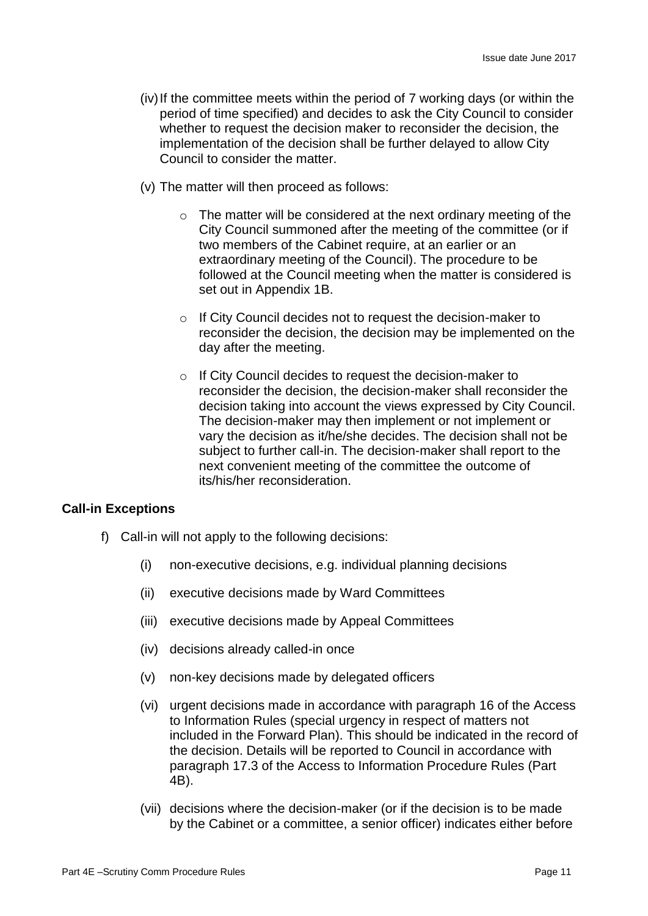- (iv)If the committee meets within the period of 7 working days (or within the period of time specified) and decides to ask the City Council to consider whether to request the decision maker to reconsider the decision, the implementation of the decision shall be further delayed to allow City Council to consider the matter.
- (v) The matter will then proceed as follows:
	- $\circ$  The matter will be considered at the next ordinary meeting of the City Council summoned after the meeting of the committee (or if two members of the Cabinet require, at an earlier or an extraordinary meeting of the Council). The procedure to be followed at the Council meeting when the matter is considered is set out in Appendix 1B.
	- o If City Council decides not to request the decision-maker to reconsider the decision, the decision may be implemented on the day after the meeting.
	- o If City Council decides to request the decision-maker to reconsider the decision, the decision-maker shall reconsider the decision taking into account the views expressed by City Council. The decision-maker may then implement or not implement or vary the decision as it/he/she decides. The decision shall not be subject to further call-in. The decision-maker shall report to the next convenient meeting of the committee the outcome of its/his/her reconsideration.

#### **Call-in Exceptions**

- f) Call-in will not apply to the following decisions:
	- (i) non-executive decisions, e.g. individual planning decisions
	- (ii) executive decisions made by Ward Committees
	- (iii) executive decisions made by Appeal Committees
	- (iv) decisions already called-in once
	- (v) non-key decisions made by delegated officers
	- (vi) urgent decisions made in accordance with paragraph 16 of the Access to Information Rules (special urgency in respect of matters not included in the Forward Plan). This should be indicated in the record of the decision. Details will be reported to Council in accordance with paragraph 17.3 of the Access to Information Procedure Rules (Part 4B).
	- (vii) decisions where the decision-maker (or if the decision is to be made by the Cabinet or a committee, a senior officer) indicates either before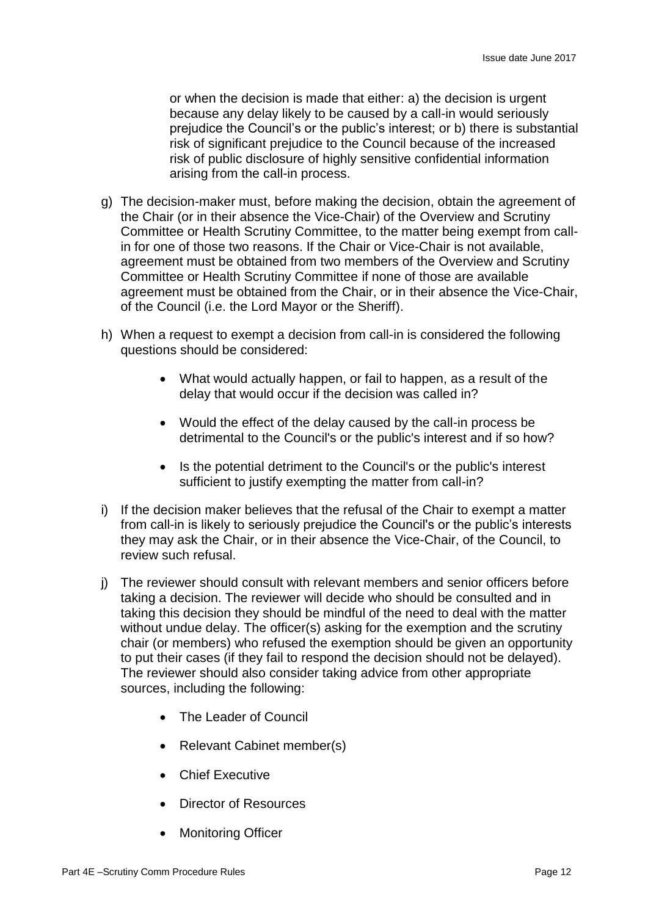or when the decision is made that either: a) the decision is urgent because any delay likely to be caused by a call-in would seriously prejudice the Council's or the public's interest; or b) there is substantial risk of significant prejudice to the Council because of the increased risk of public disclosure of highly sensitive confidential information arising from the call-in process.

- g) The decision-maker must, before making the decision, obtain the agreement of the Chair (or in their absence the Vice-Chair) of the Overview and Scrutiny Committee or Health Scrutiny Committee, to the matter being exempt from callin for one of those two reasons. If the Chair or Vice-Chair is not available, agreement must be obtained from two members of the Overview and Scrutiny Committee or Health Scrutiny Committee if none of those are available agreement must be obtained from the Chair, or in their absence the Vice-Chair, of the Council (i.e. the Lord Mayor or the Sheriff).
- h) When a request to exempt a decision from call-in is considered the following questions should be considered:
	- What would actually happen, or fail to happen, as a result of the delay that would occur if the decision was called in?
	- Would the effect of the delay caused by the call-in process be detrimental to the Council's or the public's interest and if so how?
	- Is the potential detriment to the Council's or the public's interest sufficient to justify exempting the matter from call-in?
- i) If the decision maker believes that the refusal of the Chair to exempt a matter from call-in is likely to seriously prejudice the Council's or the public's interests they may ask the Chair, or in their absence the Vice-Chair, of the Council, to review such refusal.
- j) The reviewer should consult with relevant members and senior officers before taking a decision. The reviewer will decide who should be consulted and in taking this decision they should be mindful of the need to deal with the matter without undue delay. The officer(s) asking for the exemption and the scrutiny chair (or members) who refused the exemption should be given an opportunity to put their cases (if they fail to respond the decision should not be delayed). The reviewer should also consider taking advice from other appropriate sources, including the following:
	- The Leader of Council
	- Relevant Cabinet member(s)
	- Chief Executive
	- Director of Resources
	- Monitoring Officer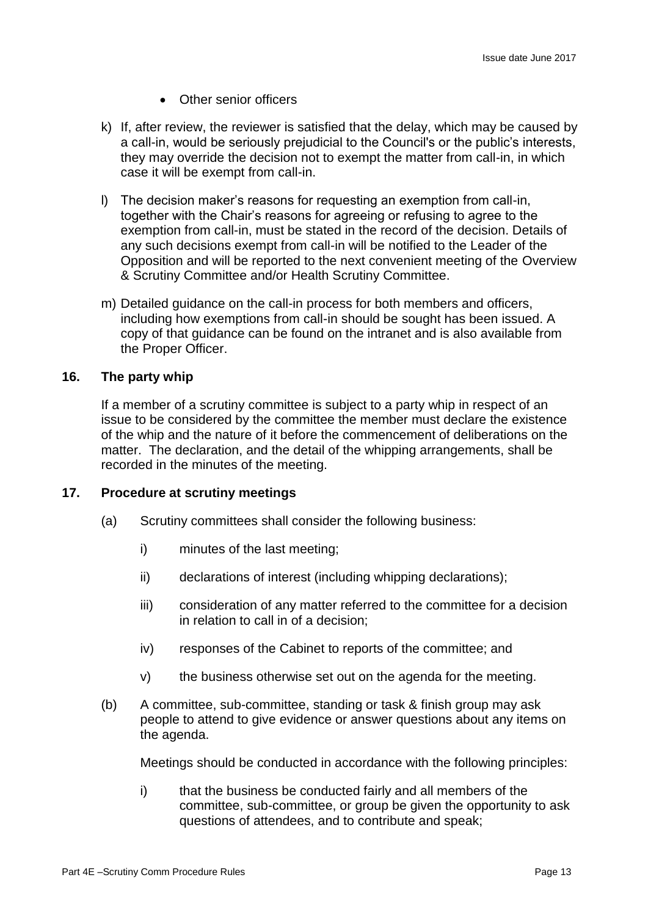- Other senior officers
- k) If, after review, the reviewer is satisfied that the delay, which may be caused by a call-in, would be seriously prejudicial to the Council's or the public's interests, they may override the decision not to exempt the matter from call-in, in which case it will be exempt from call-in.
- l) The decision maker's reasons for requesting an exemption from call-in, together with the Chair's reasons for agreeing or refusing to agree to the exemption from call-in, must be stated in the record of the decision. Details of any such decisions exempt from call-in will be notified to the Leader of the Opposition and will be reported to the next convenient meeting of the Overview & Scrutiny Committee and/or Health Scrutiny Committee.
- m) Detailed guidance on the call-in process for both members and officers, including how exemptions from call-in should be sought has been issued. A copy of that guidance can be found on the intranet and is also available from the Proper Officer.

## **16. The party whip**

If a member of a scrutiny committee is subject to a party whip in respect of an issue to be considered by the committee the member must declare the existence of the whip and the nature of it before the commencement of deliberations on the matter. The declaration, and the detail of the whipping arrangements, shall be recorded in the minutes of the meeting.

#### **17. Procedure at scrutiny meetings**

- (a) Scrutiny committees shall consider the following business:
	- i) minutes of the last meeting;
	- ii) declarations of interest (including whipping declarations);
	- iii) consideration of any matter referred to the committee for a decision in relation to call in of a decision;
	- iv) responses of the Cabinet to reports of the committee; and
	- v) the business otherwise set out on the agenda for the meeting.
- (b) A committee, sub-committee, standing or task & finish group may ask people to attend to give evidence or answer questions about any items on the agenda.

Meetings should be conducted in accordance with the following principles:

i) that the business be conducted fairly and all members of the committee, sub-committee, or group be given the opportunity to ask questions of attendees, and to contribute and speak;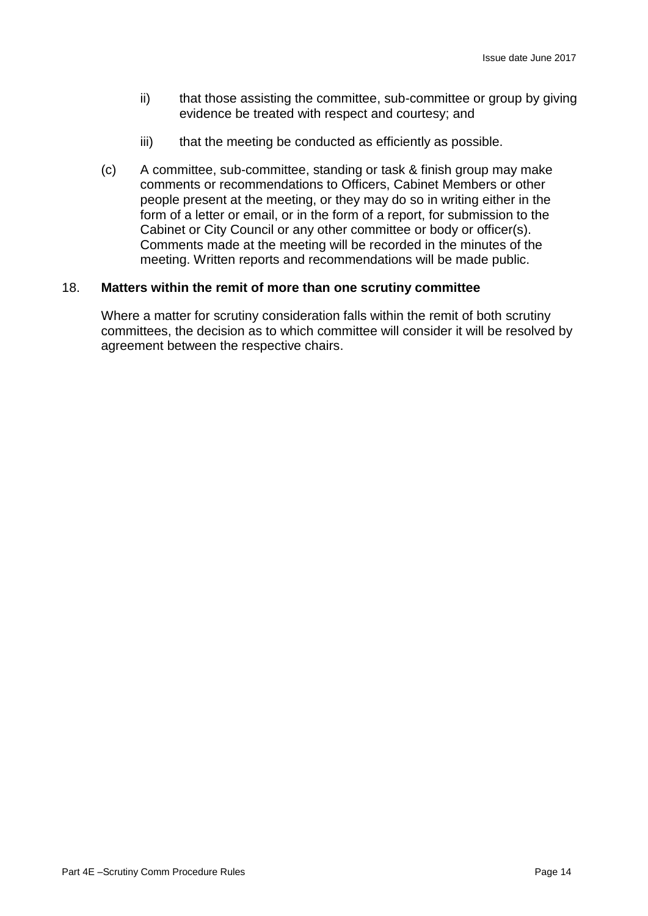- ii) that those assisting the committee, sub-committee or group by giving evidence be treated with respect and courtesy; and
- iii) that the meeting be conducted as efficiently as possible.
- (c) A committee, sub-committee, standing or task & finish group may make comments or recommendations to Officers, Cabinet Members or other people present at the meeting, or they may do so in writing either in the form of a letter or email, or in the form of a report, for submission to the Cabinet or City Council or any other committee or body or officer(s). Comments made at the meeting will be recorded in the minutes of the meeting. Written reports and recommendations will be made public.

#### 18. **Matters within the remit of more than one scrutiny committee**

Where a matter for scrutiny consideration falls within the remit of both scrutiny committees, the decision as to which committee will consider it will be resolved by agreement between the respective chairs.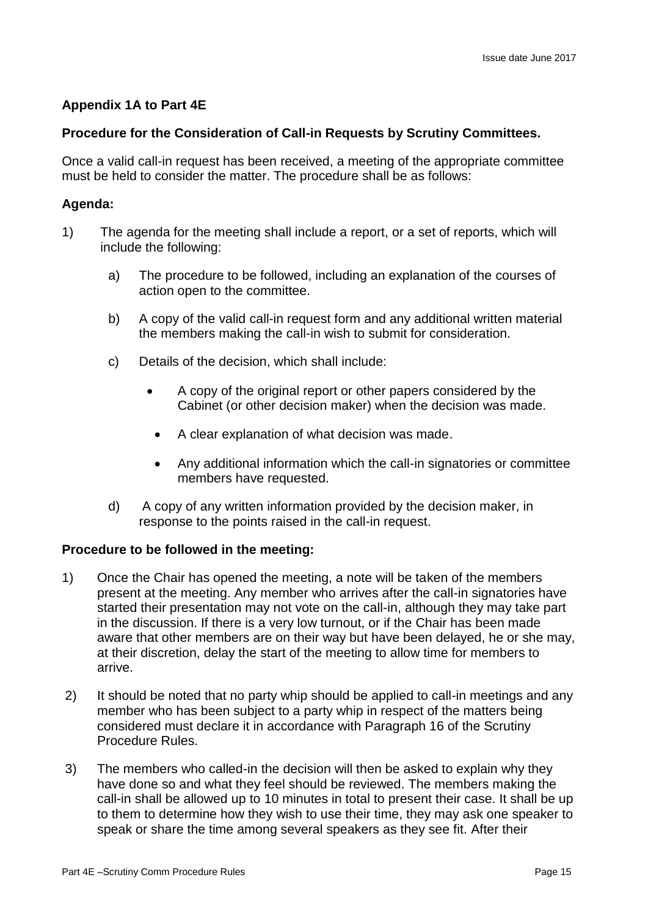# **Appendix 1A to Part 4E**

# **Procedure for the Consideration of Call-in Requests by Scrutiny Committees.**

Once a valid call-in request has been received, a meeting of the appropriate committee must be held to consider the matter. The procedure shall be as follows:

# **Agenda:**

- 1) The agenda for the meeting shall include a report, or a set of reports, which will include the following:
	- a) The procedure to be followed, including an explanation of the courses of action open to the committee.
	- b) A copy of the valid call-in request form and any additional written material the members making the call-in wish to submit for consideration.
	- c) Details of the decision, which shall include:
		- A copy of the original report or other papers considered by the Cabinet (or other decision maker) when the decision was made.
		- A clear explanation of what decision was made.
		- Any additional information which the call-in signatories or committee members have requested.
	- d) A copy of any written information provided by the decision maker, in response to the points raised in the call-in request.

# **Procedure to be followed in the meeting:**

- 1) Once the Chair has opened the meeting, a note will be taken of the members present at the meeting. Any member who arrives after the call-in signatories have started their presentation may not vote on the call-in, although they may take part in the discussion. If there is a very low turnout, or if the Chair has been made aware that other members are on their way but have been delayed, he or she may, at their discretion, delay the start of the meeting to allow time for members to arrive.
- 2) It should be noted that no party whip should be applied to call-in meetings and any member who has been subject to a party whip in respect of the matters being considered must declare it in accordance with Paragraph 16 of the Scrutiny Procedure Rules.
- 3) The members who called-in the decision will then be asked to explain why they have done so and what they feel should be reviewed. The members making the call-in shall be allowed up to 10 minutes in total to present their case. It shall be up to them to determine how they wish to use their time, they may ask one speaker to speak or share the time among several speakers as they see fit. After their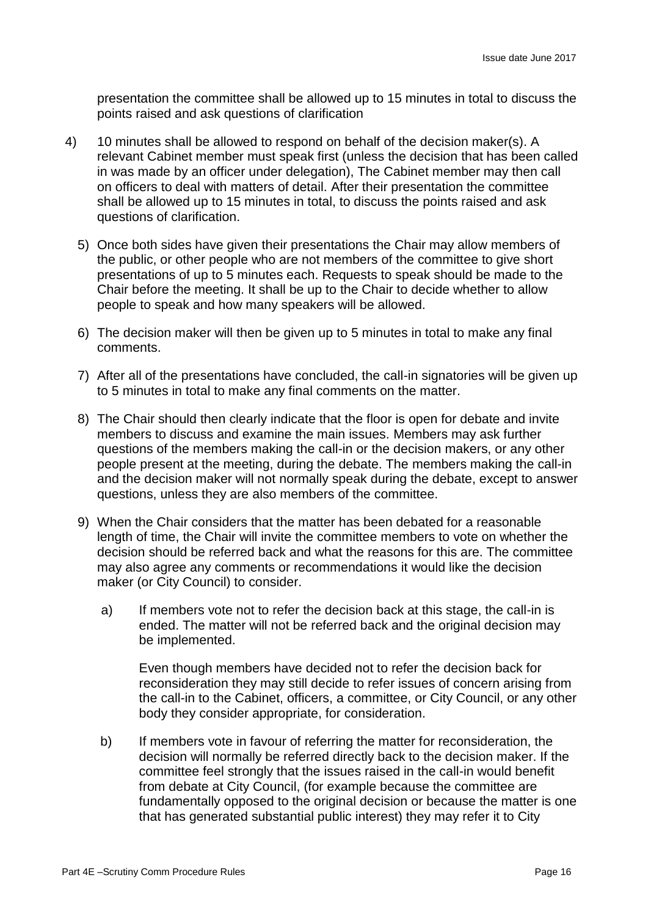presentation the committee shall be allowed up to 15 minutes in total to discuss the points raised and ask questions of clarification

- 4) 10 minutes shall be allowed to respond on behalf of the decision maker(s). A relevant Cabinet member must speak first (unless the decision that has been called in was made by an officer under delegation), The Cabinet member may then call on officers to deal with matters of detail. After their presentation the committee shall be allowed up to 15 minutes in total, to discuss the points raised and ask questions of clarification.
	- 5) Once both sides have given their presentations the Chair may allow members of the public, or other people who are not members of the committee to give short presentations of up to 5 minutes each. Requests to speak should be made to the Chair before the meeting. It shall be up to the Chair to decide whether to allow people to speak and how many speakers will be allowed.
	- 6) The decision maker will then be given up to 5 minutes in total to make any final comments.
	- 7) After all of the presentations have concluded, the call-in signatories will be given up to 5 minutes in total to make any final comments on the matter.
	- 8) The Chair should then clearly indicate that the floor is open for debate and invite members to discuss and examine the main issues. Members may ask further questions of the members making the call-in or the decision makers, or any other people present at the meeting, during the debate. The members making the call-in and the decision maker will not normally speak during the debate, except to answer questions, unless they are also members of the committee.
	- 9) When the Chair considers that the matter has been debated for a reasonable length of time, the Chair will invite the committee members to vote on whether the decision should be referred back and what the reasons for this are. The committee may also agree any comments or recommendations it would like the decision maker (or City Council) to consider.
		- a) If members vote not to refer the decision back at this stage, the call-in is ended. The matter will not be referred back and the original decision may be implemented.

Even though members have decided not to refer the decision back for reconsideration they may still decide to refer issues of concern arising from the call-in to the Cabinet, officers, a committee, or City Council, or any other body they consider appropriate, for consideration.

b) If members vote in favour of referring the matter for reconsideration, the decision will normally be referred directly back to the decision maker. If the committee feel strongly that the issues raised in the call-in would benefit from debate at City Council, (for example because the committee are fundamentally opposed to the original decision or because the matter is one that has generated substantial public interest) they may refer it to City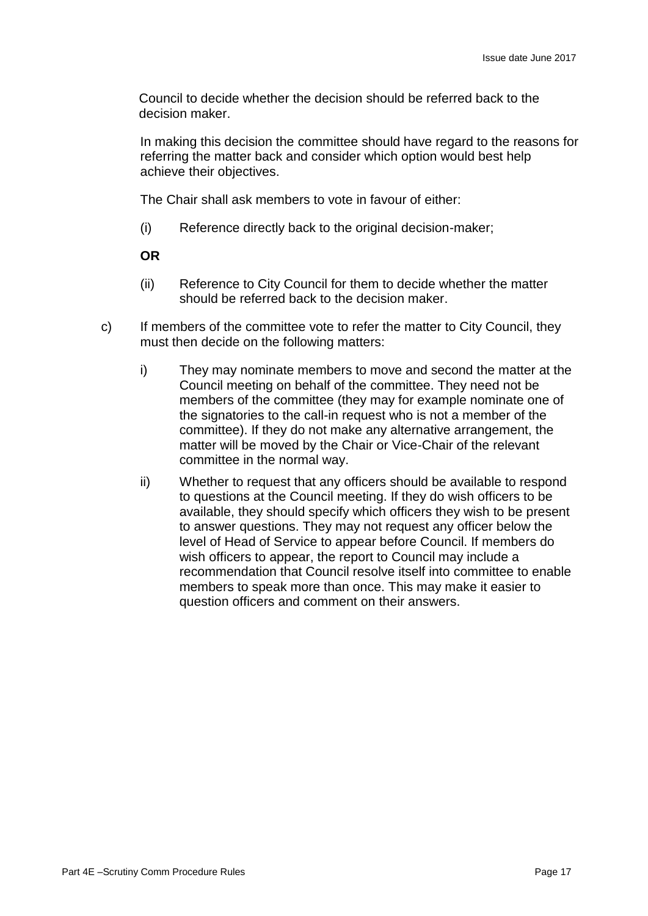Council to decide whether the decision should be referred back to the decision maker.

In making this decision the committee should have regard to the reasons for referring the matter back and consider which option would best help achieve their objectives.

The Chair shall ask members to vote in favour of either:

(i) Reference directly back to the original decision-maker;

**OR** 

- (ii) Reference to City Council for them to decide whether the matter should be referred back to the decision maker.
- c) If members of the committee vote to refer the matter to City Council, they must then decide on the following matters:
	- i) They may nominate members to move and second the matter at the Council meeting on behalf of the committee. They need not be members of the committee (they may for example nominate one of the signatories to the call-in request who is not a member of the committee). If they do not make any alternative arrangement, the matter will be moved by the Chair or Vice-Chair of the relevant committee in the normal way.
	- ii) Whether to request that any officers should be available to respond to questions at the Council meeting. If they do wish officers to be available, they should specify which officers they wish to be present to answer questions. They may not request any officer below the level of Head of Service to appear before Council. If members do wish officers to appear, the report to Council may include a recommendation that Council resolve itself into committee to enable members to speak more than once. This may make it easier to question officers and comment on their answers.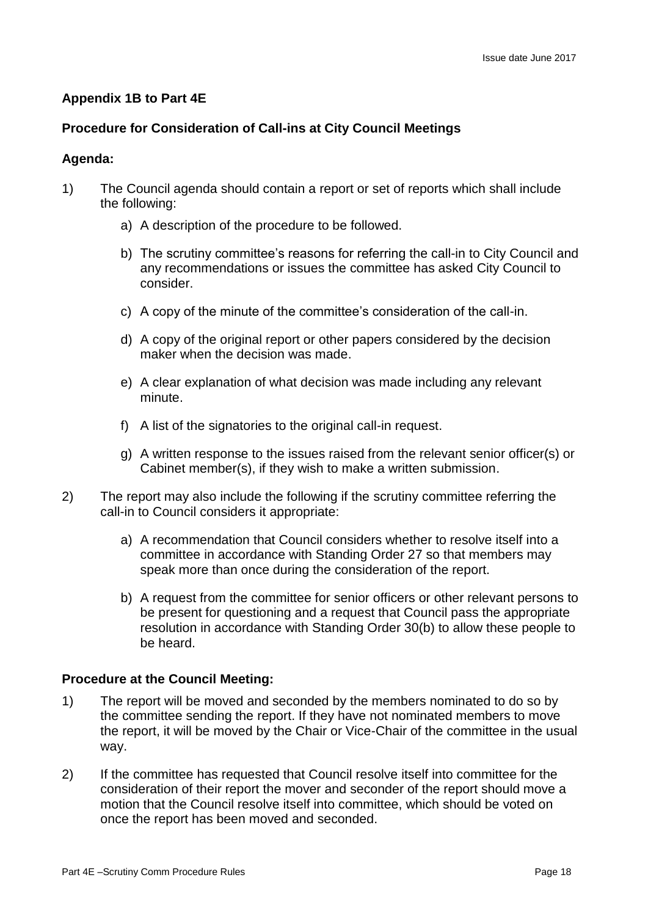# **Appendix 1B to Part 4E**

# **Procedure for Consideration of Call-ins at City Council Meetings**

#### **Agenda:**

- 1) The Council agenda should contain a report or set of reports which shall include the following:
	- a) A description of the procedure to be followed.
	- b) The scrutiny committee's reasons for referring the call-in to City Council and any recommendations or issues the committee has asked City Council to consider.
	- c) A copy of the minute of the committee's consideration of the call-in.
	- d) A copy of the original report or other papers considered by the decision maker when the decision was made.
	- e) A clear explanation of what decision was made including any relevant minute.
	- f) A list of the signatories to the original call-in request.
	- g) A written response to the issues raised from the relevant senior officer(s) or Cabinet member(s), if they wish to make a written submission.
- 2) The report may also include the following if the scrutiny committee referring the call-in to Council considers it appropriate:
	- a) A recommendation that Council considers whether to resolve itself into a committee in accordance with Standing Order 27 so that members may speak more than once during the consideration of the report.
	- b) A request from the committee for senior officers or other relevant persons to be present for questioning and a request that Council pass the appropriate resolution in accordance with Standing Order 30(b) to allow these people to be heard.

# **Procedure at the Council Meeting:**

- 1) The report will be moved and seconded by the members nominated to do so by the committee sending the report. If they have not nominated members to move the report, it will be moved by the Chair or Vice-Chair of the committee in the usual way.
- 2) If the committee has requested that Council resolve itself into committee for the consideration of their report the mover and seconder of the report should move a motion that the Council resolve itself into committee, which should be voted on once the report has been moved and seconded.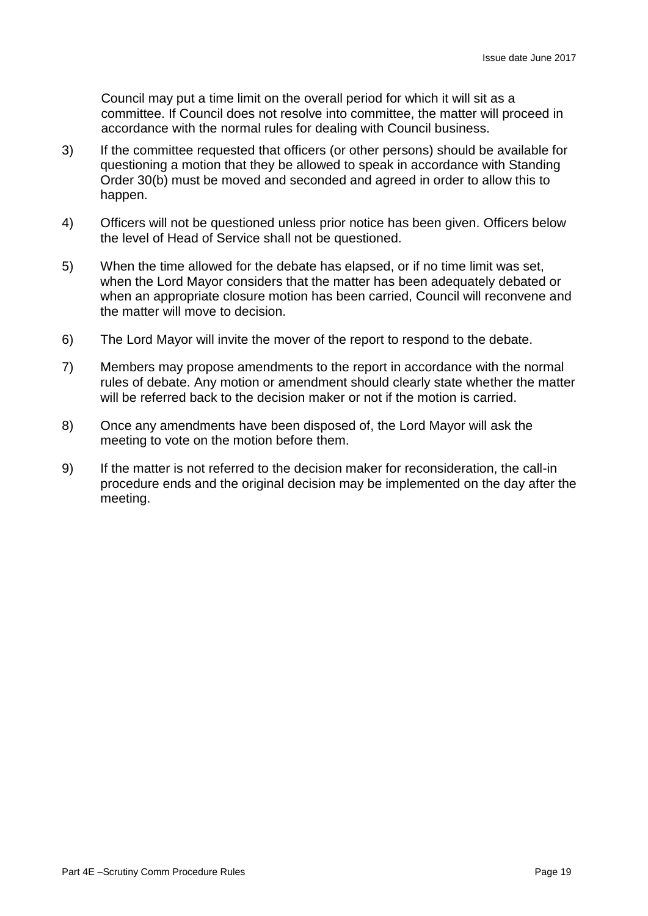Council may put a time limit on the overall period for which it will sit as a committee. If Council does not resolve into committee, the matter will proceed in accordance with the normal rules for dealing with Council business.

- 3) If the committee requested that officers (or other persons) should be available for questioning a motion that they be allowed to speak in accordance with Standing Order 30(b) must be moved and seconded and agreed in order to allow this to happen.
- 4) Officers will not be questioned unless prior notice has been given. Officers below the level of Head of Service shall not be questioned.
- 5) When the time allowed for the debate has elapsed, or if no time limit was set, when the Lord Mayor considers that the matter has been adequately debated or when an appropriate closure motion has been carried, Council will reconvene and the matter will move to decision.
- 6) The Lord Mayor will invite the mover of the report to respond to the debate.
- 7) Members may propose amendments to the report in accordance with the normal rules of debate. Any motion or amendment should clearly state whether the matter will be referred back to the decision maker or not if the motion is carried.
- 8) Once any amendments have been disposed of, the Lord Mayor will ask the meeting to vote on the motion before them.
- 9) If the matter is not referred to the decision maker for reconsideration, the call-in procedure ends and the original decision may be implemented on the day after the meeting.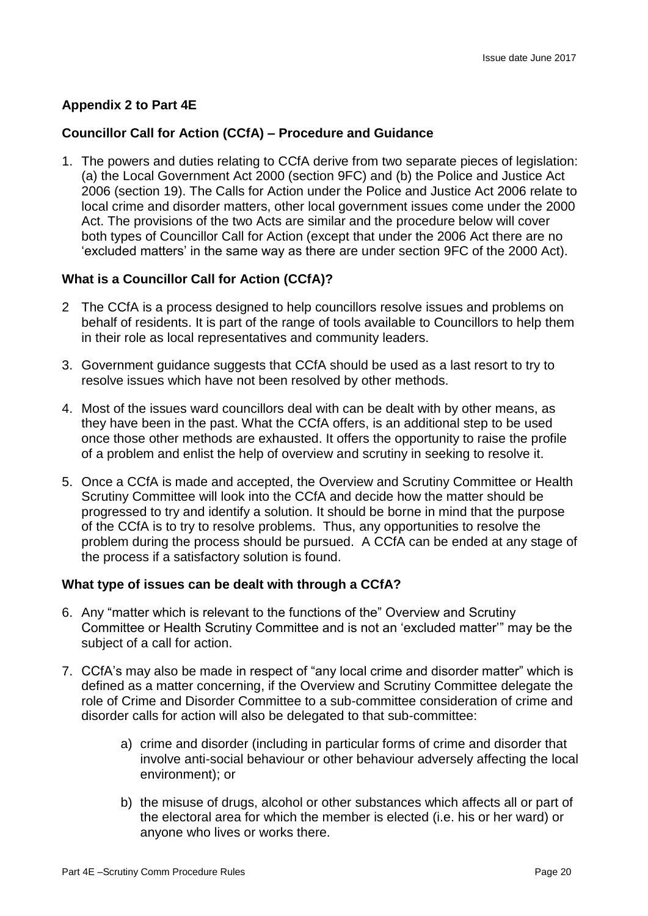# **Appendix 2 to Part 4E**

# **Councillor Call for Action (CCfA) – Procedure and Guidance**

1. The powers and duties relating to CCfA derive from two separate pieces of legislation: (a) the Local Government Act 2000 (section 9FC) and (b) the Police and Justice Act 2006 (section 19). The Calls for Action under the Police and Justice Act 2006 relate to local crime and disorder matters, other local government issues come under the 2000 Act. The provisions of the two Acts are similar and the procedure below will cover both types of Councillor Call for Action (except that under the 2006 Act there are no 'excluded matters' in the same way as there are under section 9FC of the 2000 Act).

# **What is a Councillor Call for Action (CCfA)?**

- 2 The CCfA is a process designed to help councillors resolve issues and problems on behalf of residents. It is part of the range of tools available to Councillors to help them in their role as local representatives and community leaders.
- 3. Government guidance suggests that CCfA should be used as a last resort to try to resolve issues which have not been resolved by other methods.
- 4. Most of the issues ward councillors deal with can be dealt with by other means, as they have been in the past. What the CCfA offers, is an additional step to be used once those other methods are exhausted. It offers the opportunity to raise the profile of a problem and enlist the help of overview and scrutiny in seeking to resolve it.
- 5. Once a CCfA is made and accepted, the Overview and Scrutiny Committee or Health Scrutiny Committee will look into the CCfA and decide how the matter should be progressed to try and identify a solution. It should be borne in mind that the purpose of the CCfA is to try to resolve problems. Thus, any opportunities to resolve the problem during the process should be pursued. A CCfA can be ended at any stage of the process if a satisfactory solution is found.

# **What type of issues can be dealt with through a CCfA?**

- 6. Any "matter which is relevant to the functions of the" Overview and Scrutiny Committee or Health Scrutiny Committee and is not an 'excluded matter'" may be the subject of a call for action.
- 7. CCfA's may also be made in respect of "any local crime and disorder matter" which is defined as a matter concerning, if the Overview and Scrutiny Committee delegate the role of Crime and Disorder Committee to a sub-committee consideration of crime and disorder calls for action will also be delegated to that sub-committee:
	- a) crime and disorder (including in particular forms of crime and disorder that involve anti-social behaviour or other behaviour adversely affecting the local environment); or
	- b) the misuse of drugs, alcohol or other substances which affects all or part of the electoral area for which the member is elected (i.e. his or her ward) or anyone who lives or works there.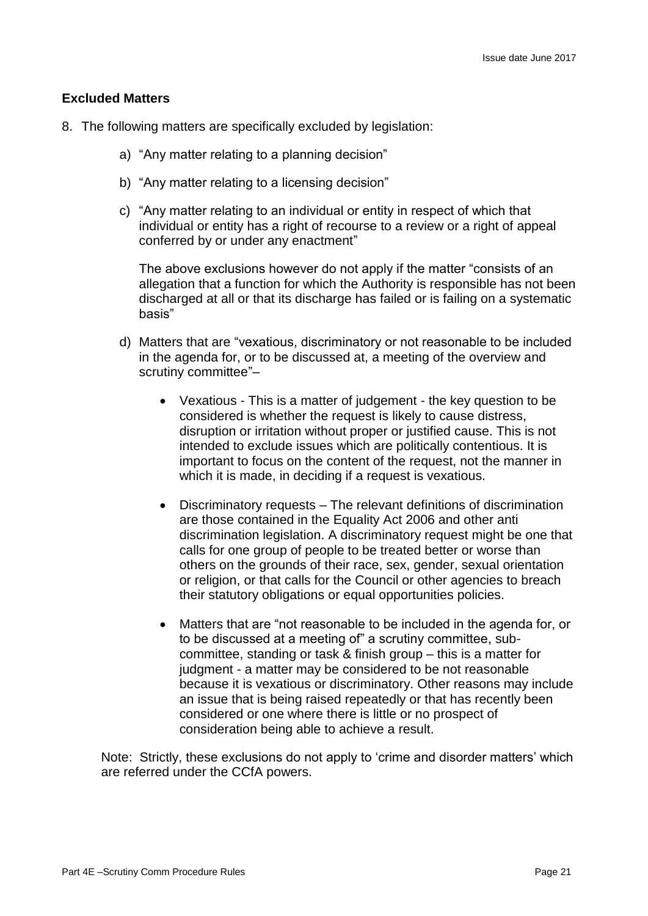## **Excluded Matters**

- 8. The following matters are specifically excluded by legislation:
	- a) "Any matter relating to a planning decision"
	- b) "Any matter relating to a licensing decision"
	- c) "Any matter relating to an individual or entity in respect of which that individual or entity has a right of recourse to a review or a right of appeal conferred by or under any enactment"

The above exclusions however do not apply if the matter "consists of an allegation that a function for which the Authority is responsible has not been discharged at all or that its discharge has failed or is failing on a systematic basis"

- d) Matters that are "vexatious, discriminatory or not reasonable to be included in the agenda for, or to be discussed at, a meeting of the overview and scrutiny committee"–
	- Vexatious This is a matter of judgement the key question to be considered is whether the request is likely to cause distress, disruption or irritation without proper or justified cause. This is not intended to exclude issues which are politically contentious. It is important to focus on the content of the request, not the manner in which it is made, in deciding if a request is vexatious.
	- Discriminatory requests The relevant definitions of discrimination are those contained in the Equality Act 2006 and other anti discrimination legislation. A discriminatory request might be one that calls for one group of people to be treated better or worse than others on the grounds of their race, sex, gender, sexual orientation or religion, or that calls for the Council or other agencies to breach their statutory obligations or equal opportunities policies.
	- Matters that are "not reasonable to be included in the agenda for, or to be discussed at a meeting of" a scrutiny committee, subcommittee, standing or task & finish group – this is a matter for judgment - a matter may be considered to be not reasonable because it is vexatious or discriminatory. Other reasons may include an issue that is being raised repeatedly or that has recently been considered or one where there is little or no prospect of consideration being able to achieve a result.

Note: Strictly, these exclusions do not apply to 'crime and disorder matters' which are referred under the CCfA powers.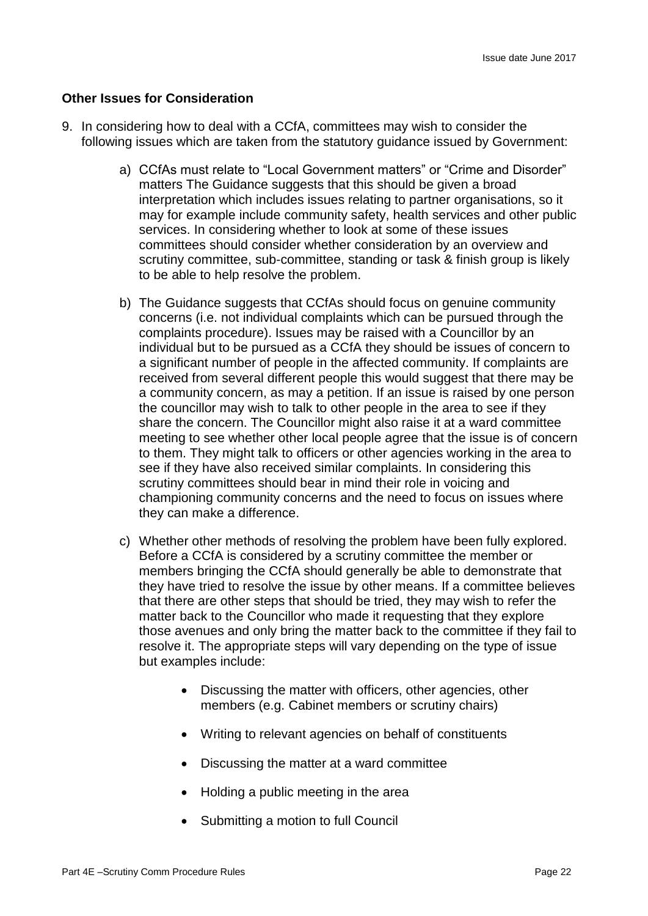#### **Other Issues for Consideration**

- 9. In considering how to deal with a CCfA, committees may wish to consider the following issues which are taken from the statutory guidance issued by Government:
	- a) CCfAs must relate to "Local Government matters" or "Crime and Disorder" matters The Guidance suggests that this should be given a broad interpretation which includes issues relating to partner organisations, so it may for example include community safety, health services and other public services. In considering whether to look at some of these issues committees should consider whether consideration by an overview and scrutiny committee, sub-committee, standing or task & finish group is likely to be able to help resolve the problem.
	- b) The Guidance suggests that CCfAs should focus on genuine community concerns (i.e. not individual complaints which can be pursued through the complaints procedure). Issues may be raised with a Councillor by an individual but to be pursued as a CCfA they should be issues of concern to a significant number of people in the affected community. If complaints are received from several different people this would suggest that there may be a community concern, as may a petition. If an issue is raised by one person the councillor may wish to talk to other people in the area to see if they share the concern. The Councillor might also raise it at a ward committee meeting to see whether other local people agree that the issue is of concern to them. They might talk to officers or other agencies working in the area to see if they have also received similar complaints. In considering this scrutiny committees should bear in mind their role in voicing and championing community concerns and the need to focus on issues where they can make a difference.
	- c) Whether other methods of resolving the problem have been fully explored. Before a CCfA is considered by a scrutiny committee the member or members bringing the CCfA should generally be able to demonstrate that they have tried to resolve the issue by other means. If a committee believes that there are other steps that should be tried, they may wish to refer the matter back to the Councillor who made it requesting that they explore those avenues and only bring the matter back to the committee if they fail to resolve it. The appropriate steps will vary depending on the type of issue but examples include:
		- Discussing the matter with officers, other agencies, other members (e.g. Cabinet members or scrutiny chairs)
		- Writing to relevant agencies on behalf of constituents
		- Discussing the matter at a ward committee
		- Holding a public meeting in the area
		- Submitting a motion to full Council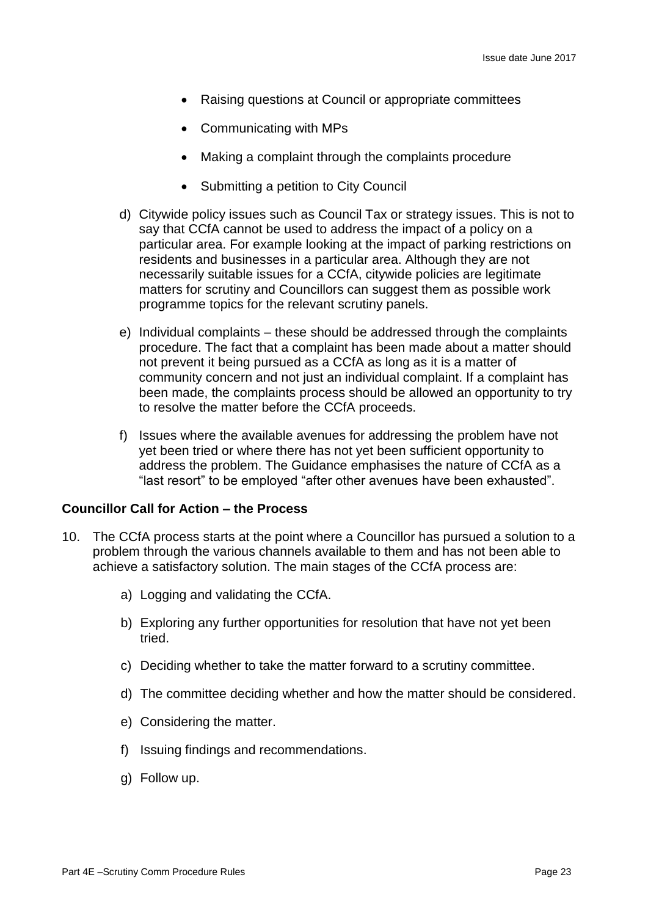- Raising questions at Council or appropriate committees
- Communicating with MPs
- Making a complaint through the complaints procedure
- Submitting a petition to City Council
- d) Citywide policy issues such as Council Tax or strategy issues. This is not to say that CCfA cannot be used to address the impact of a policy on a particular area. For example looking at the impact of parking restrictions on residents and businesses in a particular area. Although they are not necessarily suitable issues for a CCfA, citywide policies are legitimate matters for scrutiny and Councillors can suggest them as possible work programme topics for the relevant scrutiny panels.
- e) Individual complaints these should be addressed through the complaints procedure. The fact that a complaint has been made about a matter should not prevent it being pursued as a CCfA as long as it is a matter of community concern and not just an individual complaint. If a complaint has been made, the complaints process should be allowed an opportunity to try to resolve the matter before the CCfA proceeds.
- f) Issues where the available avenues for addressing the problem have not yet been tried or where there has not yet been sufficient opportunity to address the problem. The Guidance emphasises the nature of CCfA as a "last resort" to be employed "after other avenues have been exhausted".

# **Councillor Call for Action – the Process**

- 10. The CCfA process starts at the point where a Councillor has pursued a solution to a problem through the various channels available to them and has not been able to achieve a satisfactory solution. The main stages of the CCfA process are:
	- a) Logging and validating the CCfA.
	- b) Exploring any further opportunities for resolution that have not yet been tried.
	- c) Deciding whether to take the matter forward to a scrutiny committee.
	- d) The committee deciding whether and how the matter should be considered.
	- e) Considering the matter.
	- f) Issuing findings and recommendations.
	- g) Follow up.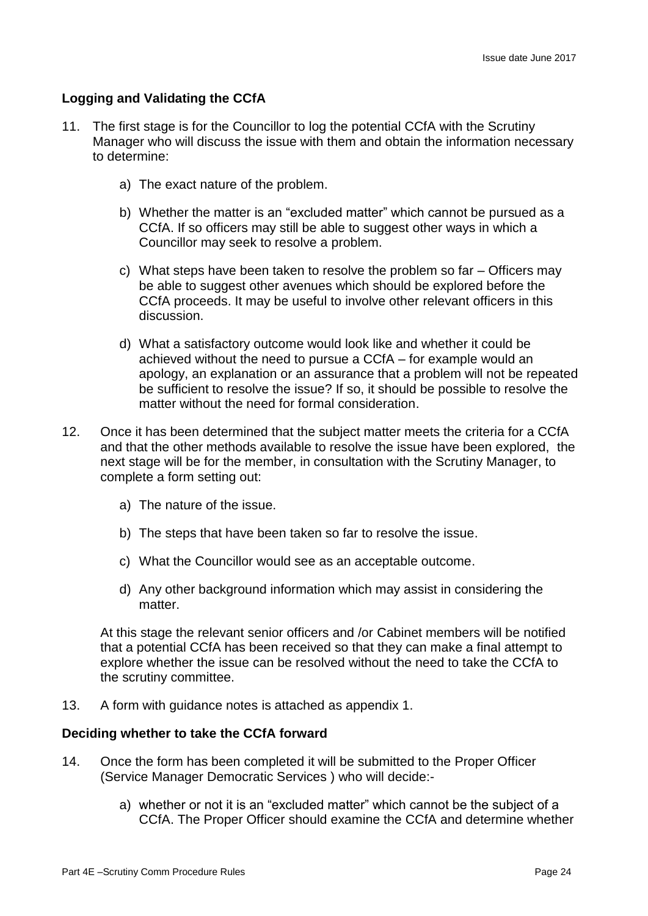## **Logging and Validating the CCfA**

- 11. The first stage is for the Councillor to log the potential CCfA with the Scrutiny Manager who will discuss the issue with them and obtain the information necessary to determine:
	- a) The exact nature of the problem.
	- b) Whether the matter is an "excluded matter" which cannot be pursued as a CCfA. If so officers may still be able to suggest other ways in which a Councillor may seek to resolve a problem.
	- c) What steps have been taken to resolve the problem so far Officers may be able to suggest other avenues which should be explored before the CCfA proceeds. It may be useful to involve other relevant officers in this discussion.
	- d) What a satisfactory outcome would look like and whether it could be achieved without the need to pursue a CCfA – for example would an apology, an explanation or an assurance that a problem will not be repeated be sufficient to resolve the issue? If so, it should be possible to resolve the matter without the need for formal consideration.
- 12. Once it has been determined that the subject matter meets the criteria for a CCfA and that the other methods available to resolve the issue have been explored, the next stage will be for the member, in consultation with the Scrutiny Manager, to complete a form setting out:
	- a) The nature of the issue.
	- b) The steps that have been taken so far to resolve the issue.
	- c) What the Councillor would see as an acceptable outcome.
	- d) Any other background information which may assist in considering the matter

At this stage the relevant senior officers and /or Cabinet members will be notified that a potential CCfA has been received so that they can make a final attempt to explore whether the issue can be resolved without the need to take the CCfA to the scrutiny committee.

13. A form with guidance notes is attached as appendix 1.

#### **Deciding whether to take the CCfA forward**

- 14. Once the form has been completed it will be submitted to the Proper Officer (Service Manager Democratic Services ) who will decide:
	- a) whether or not it is an "excluded matter" which cannot be the subject of a CCfA. The Proper Officer should examine the CCfA and determine whether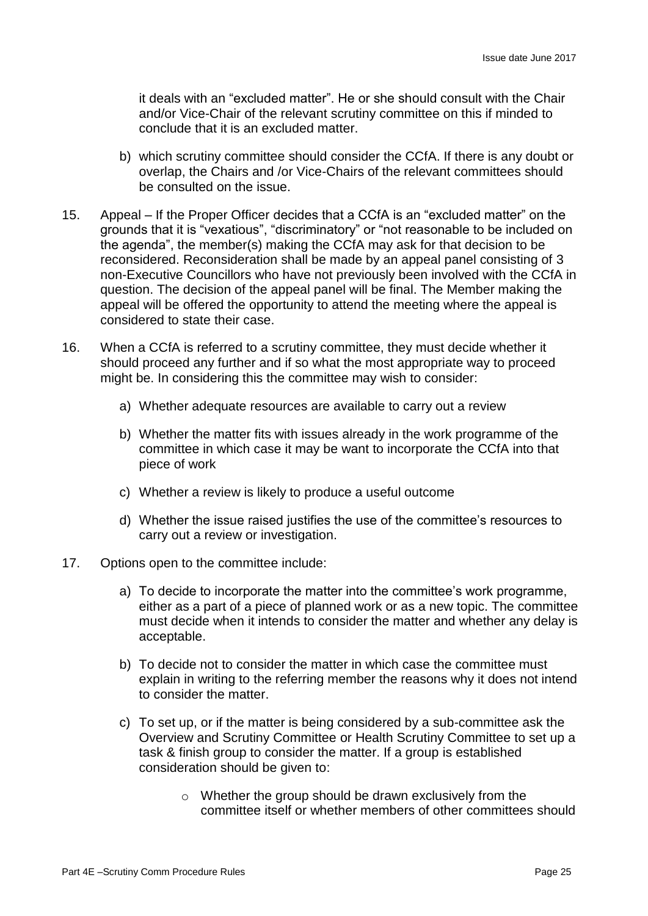it deals with an "excluded matter". He or she should consult with the Chair and/or Vice-Chair of the relevant scrutiny committee on this if minded to conclude that it is an excluded matter.

- b) which scrutiny committee should consider the CCfA. If there is any doubt or overlap, the Chairs and /or Vice-Chairs of the relevant committees should be consulted on the issue.
- 15. Appeal If the Proper Officer decides that a CCfA is an "excluded matter" on the grounds that it is "vexatious", "discriminatory" or "not reasonable to be included on the agenda", the member(s) making the CCfA may ask for that decision to be reconsidered. Reconsideration shall be made by an appeal panel consisting of 3 non-Executive Councillors who have not previously been involved with the CCfA in question. The decision of the appeal panel will be final. The Member making the appeal will be offered the opportunity to attend the meeting where the appeal is considered to state their case.
- 16. When a CCfA is referred to a scrutiny committee, they must decide whether it should proceed any further and if so what the most appropriate way to proceed might be. In considering this the committee may wish to consider:
	- a) Whether adequate resources are available to carry out a review
	- b) Whether the matter fits with issues already in the work programme of the committee in which case it may be want to incorporate the CCfA into that piece of work
	- c) Whether a review is likely to produce a useful outcome
	- d) Whether the issue raised justifies the use of the committee's resources to carry out a review or investigation.
- 17. Options open to the committee include:
	- a) To decide to incorporate the matter into the committee's work programme, either as a part of a piece of planned work or as a new topic. The committee must decide when it intends to consider the matter and whether any delay is acceptable.
	- b) To decide not to consider the matter in which case the committee must explain in writing to the referring member the reasons why it does not intend to consider the matter.
	- c) To set up, or if the matter is being considered by a sub-committee ask the Overview and Scrutiny Committee or Health Scrutiny Committee to set up a task & finish group to consider the matter. If a group is established consideration should be given to:
		- o Whether the group should be drawn exclusively from the committee itself or whether members of other committees should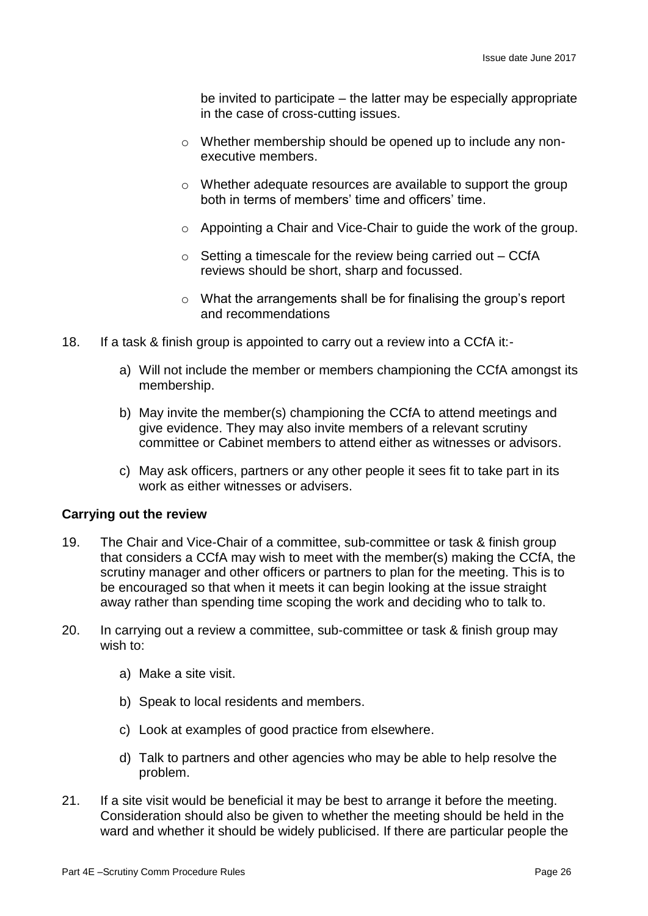be invited to participate – the latter may be especially appropriate in the case of cross-cutting issues.

- o Whether membership should be opened up to include any nonexecutive members.
- o Whether adequate resources are available to support the group both in terms of members' time and officers' time.
- o Appointing a Chair and Vice-Chair to guide the work of the group.
- $\circ$  Setting a timescale for the review being carried out CCfA reviews should be short, sharp and focussed.
- $\circ$  What the arrangements shall be for finalising the group's report and recommendations
- 18. If a task & finish group is appointed to carry out a review into a CCfA it:
	- a) Will not include the member or members championing the CCfA amongst its membership.
	- b) May invite the member(s) championing the CCfA to attend meetings and give evidence. They may also invite members of a relevant scrutiny committee or Cabinet members to attend either as witnesses or advisors.
	- c) May ask officers, partners or any other people it sees fit to take part in its work as either witnesses or advisers.

#### **Carrying out the review**

- 19. The Chair and Vice-Chair of a committee, sub-committee or task & finish group that considers a CCfA may wish to meet with the member(s) making the CCfA, the scrutiny manager and other officers or partners to plan for the meeting. This is to be encouraged so that when it meets it can begin looking at the issue straight away rather than spending time scoping the work and deciding who to talk to.
- 20. In carrying out a review a committee, sub-committee or task & finish group may wish to:
	- a) Make a site visit.
	- b) Speak to local residents and members.
	- c) Look at examples of good practice from elsewhere.
	- d) Talk to partners and other agencies who may be able to help resolve the problem.
- 21. If a site visit would be beneficial it may be best to arrange it before the meeting. Consideration should also be given to whether the meeting should be held in the ward and whether it should be widely publicised. If there are particular people the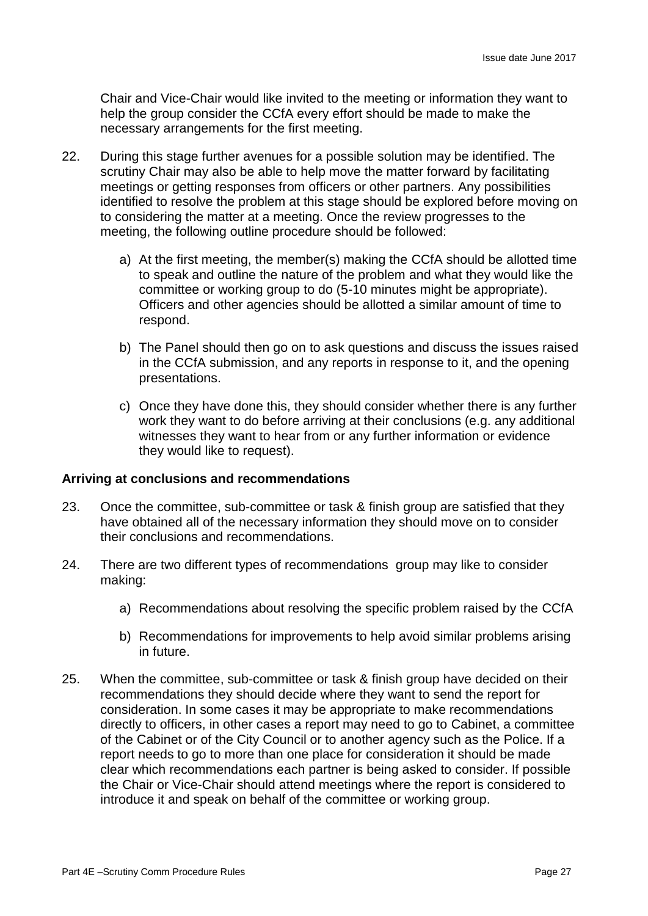Chair and Vice-Chair would like invited to the meeting or information they want to help the group consider the CCfA every effort should be made to make the necessary arrangements for the first meeting.

- 22. During this stage further avenues for a possible solution may be identified. The scrutiny Chair may also be able to help move the matter forward by facilitating meetings or getting responses from officers or other partners. Any possibilities identified to resolve the problem at this stage should be explored before moving on to considering the matter at a meeting. Once the review progresses to the meeting, the following outline procedure should be followed:
	- a) At the first meeting, the member(s) making the CCfA should be allotted time to speak and outline the nature of the problem and what they would like the committee or working group to do (5-10 minutes might be appropriate). Officers and other agencies should be allotted a similar amount of time to respond.
	- b) The Panel should then go on to ask questions and discuss the issues raised in the CCfA submission, and any reports in response to it, and the opening presentations.
	- c) Once they have done this, they should consider whether there is any further work they want to do before arriving at their conclusions (e.g. any additional witnesses they want to hear from or any further information or evidence they would like to request).

#### **Arriving at conclusions and recommendations**

- 23. Once the committee, sub-committee or task & finish group are satisfied that they have obtained all of the necessary information they should move on to consider their conclusions and recommendations.
- 24. There are two different types of recommendations group may like to consider making:
	- a) Recommendations about resolving the specific problem raised by the CCfA
	- b) Recommendations for improvements to help avoid similar problems arising in future.
- 25. When the committee, sub-committee or task & finish group have decided on their recommendations they should decide where they want to send the report for consideration. In some cases it may be appropriate to make recommendations directly to officers, in other cases a report may need to go to Cabinet, a committee of the Cabinet or of the City Council or to another agency such as the Police. If a report needs to go to more than one place for consideration it should be made clear which recommendations each partner is being asked to consider. If possible the Chair or Vice-Chair should attend meetings where the report is considered to introduce it and speak on behalf of the committee or working group.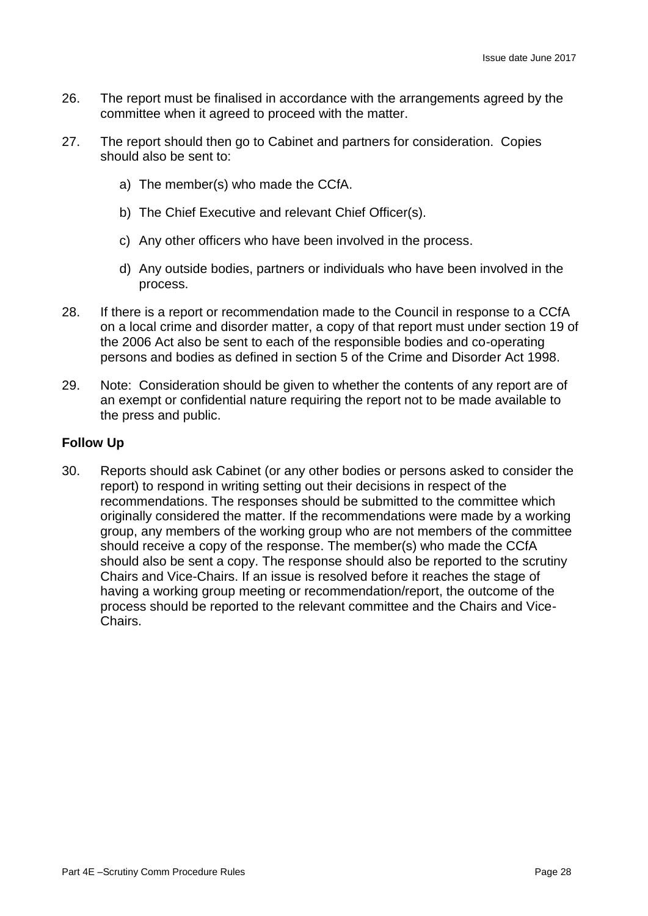- 26. The report must be finalised in accordance with the arrangements agreed by the committee when it agreed to proceed with the matter.
- 27. The report should then go to Cabinet and partners for consideration. Copies should also be sent to:
	- a) The member(s) who made the CCfA.
	- b) The Chief Executive and relevant Chief Officer(s).
	- c) Any other officers who have been involved in the process.
	- d) Any outside bodies, partners or individuals who have been involved in the process.
- 28. If there is a report or recommendation made to the Council in response to a CCfA on a local crime and disorder matter, a copy of that report must under section 19 of the 2006 Act also be sent to each of the responsible bodies and co-operating persons and bodies as defined in section 5 of the Crime and Disorder Act 1998.
- 29. Note: Consideration should be given to whether the contents of any report are of an exempt or confidential nature requiring the report not to be made available to the press and public.

# **Follow Up**

30. Reports should ask Cabinet (or any other bodies or persons asked to consider the report) to respond in writing setting out their decisions in respect of the recommendations. The responses should be submitted to the committee which originally considered the matter. If the recommendations were made by a working group, any members of the working group who are not members of the committee should receive a copy of the response. The member(s) who made the CCfA should also be sent a copy. The response should also be reported to the scrutiny Chairs and Vice-Chairs. If an issue is resolved before it reaches the stage of having a working group meeting or recommendation/report, the outcome of the process should be reported to the relevant committee and the Chairs and Vice-Chairs.